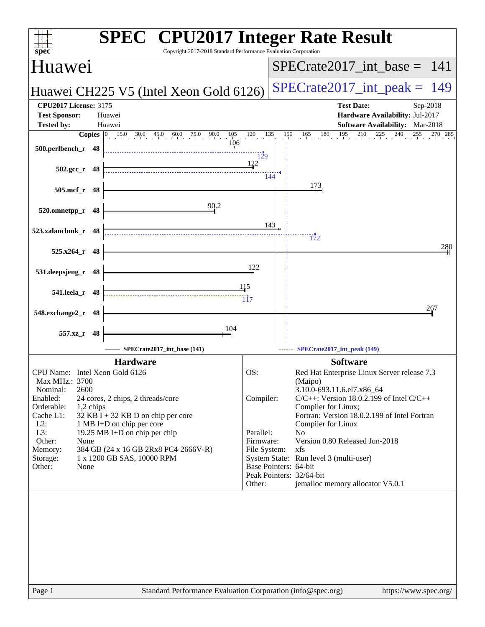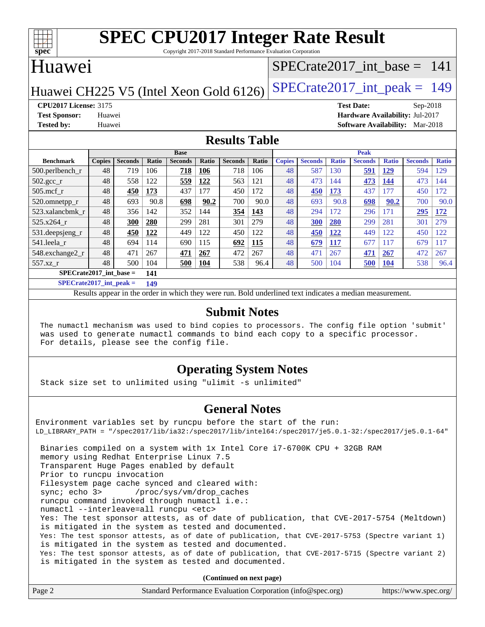

Copyright 2017-2018 Standard Performance Evaluation Corporation

## Huawei

### [SPECrate2017\\_int\\_base =](http://www.spec.org/auto/cpu2017/Docs/result-fields.html#SPECrate2017intbase) 141

Huawei CH225 V5 (Intel Xeon Gold 6126) SPECrate  $2017$ \_int\_peak = 149

**[CPU2017 License:](http://www.spec.org/auto/cpu2017/Docs/result-fields.html#CPU2017License)** 3175 **[Test Date:](http://www.spec.org/auto/cpu2017/Docs/result-fields.html#TestDate)** Sep-2018 **[Test Sponsor:](http://www.spec.org/auto/cpu2017/Docs/result-fields.html#TestSponsor)** Huawei **[Hardware Availability:](http://www.spec.org/auto/cpu2017/Docs/result-fields.html#HardwareAvailability)** Jul-2017 **[Tested by:](http://www.spec.org/auto/cpu2017/Docs/result-fields.html#Testedby)** Huawei **[Software Availability:](http://www.spec.org/auto/cpu2017/Docs/result-fields.html#SoftwareAvailability)** Mar-2018

#### **[Results Table](http://www.spec.org/auto/cpu2017/Docs/result-fields.html#ResultsTable)**

|                           | <b>Base</b>   |                |       |                | <b>Peak</b> |                |              |               |                |              |                |              |                |              |
|---------------------------|---------------|----------------|-------|----------------|-------------|----------------|--------------|---------------|----------------|--------------|----------------|--------------|----------------|--------------|
| <b>Benchmark</b>          | <b>Copies</b> | <b>Seconds</b> | Ratio | <b>Seconds</b> | Ratio       | <b>Seconds</b> | <b>Ratio</b> | <b>Copies</b> | <b>Seconds</b> | <b>Ratio</b> | <b>Seconds</b> | <b>Ratio</b> | <b>Seconds</b> | <b>Ratio</b> |
| $500.$ perlbench_r        | 48            | 719            | 106   | 718            | 106         | 718            | 106          | 48            | 587            | 130          | 591            | 129          | 594            | <b>29</b>    |
| $502.\text{gcc}_r$        | 48            | 558            | 122   | 559            | 122         | 563            | 121          | 48            | 473            | 144          | 473            | 144          | 473            | 144          |
| $505$ .mcf r              | 48            | 450            | 173   | 437            | 177         | 450            | 172          | 48            | 450            | 173          | 437            | 77           | 450            | 172          |
| 520.omnetpp_r             | 48            | 693            | 90.8  | 698            | 90.2        | 700            | 90.0         | 48            | 693            | 90.8         | 698            | 90.2         | 700            | 90.0         |
| 523.xalancbmk r           | 48            | 356            | 142   | 352            | 144         | 354            | 143          | 48            | 294            | 172          | 296            | 171          | 295            | 172          |
| 525.x264 r                | 48            | 300            | 280   | 299            | 281         | 301            | 279          | 48            | 300            | 280          | 299            | 281          | 301            | 279          |
| 531.deepsjeng_r           | 48            | 450            | 122   | 449            | 122         | 450            | 122          | 48            | 450            | 122          | 449            | 122          | 450            | 122          |
| 541.leela r               | 48            | 694            | 114   | 690            | 115         | 692            | 115          | 48            | 679            | 117          | 677            | 117          | 679            | 117          |
| 548.exchange2_r           | 48            | 471            | 267   | 471            | 267         | 472            | 267          | 48            | 471            | 267          | 471            | 267          | 472            | 267          |
| $557.xz$ _r               | 48            | 500            | 104   | 500            | 104         | 538            | 96.4         | 48            | 500            | 104          | 500            | <b>104</b>   | 538            | 96.4         |
| $SPECrate2017$ int base = |               |                | 141   |                |             |                |              |               |                |              |                |              |                |              |

**[SPECrate2017\\_int\\_peak =](http://www.spec.org/auto/cpu2017/Docs/result-fields.html#SPECrate2017intpeak) 149**

Results appear in the [order in which they were run.](http://www.spec.org/auto/cpu2017/Docs/result-fields.html#RunOrder) Bold underlined text [indicates a median measurement.](http://www.spec.org/auto/cpu2017/Docs/result-fields.html#Median)

#### **[Submit Notes](http://www.spec.org/auto/cpu2017/Docs/result-fields.html#SubmitNotes)**

 The numactl mechanism was used to bind copies to processors. The config file option 'submit' was used to generate numactl commands to bind each copy to a specific processor. For details, please see the config file.

#### **[Operating System Notes](http://www.spec.org/auto/cpu2017/Docs/result-fields.html#OperatingSystemNotes)**

Stack size set to unlimited using "ulimit -s unlimited"

#### **[General Notes](http://www.spec.org/auto/cpu2017/Docs/result-fields.html#GeneralNotes)**

Environment variables set by runcpu before the start of the run: LD\_LIBRARY\_PATH = "/spec2017/lib/ia32:/spec2017/lib/intel64:/spec2017/je5.0.1-32:/spec2017/je5.0.1-64" Binaries compiled on a system with 1x Intel Core i7-6700K CPU + 32GB RAM memory using Redhat Enterprise Linux 7.5 Transparent Huge Pages enabled by default Prior to runcpu invocation Filesystem page cache synced and cleared with: sync; echo 3> /proc/sys/vm/drop\_caches runcpu command invoked through numactl i.e.: numactl --interleave=all runcpu <etc> Yes: The test sponsor attests, as of date of publication, that CVE-2017-5754 (Meltdown) is mitigated in the system as tested and documented. Yes: The test sponsor attests, as of date of publication, that CVE-2017-5753 (Spectre variant 1) is mitigated in the system as tested and documented. Yes: The test sponsor attests, as of date of publication, that CVE-2017-5715 (Spectre variant 2) is mitigated in the system as tested and documented.

**(Continued on next page)**

| Page 2 | Standard Performance Evaluation Corporation (info@spec.org) | https://www.spec.org/ |
|--------|-------------------------------------------------------------|-----------------------|
|--------|-------------------------------------------------------------|-----------------------|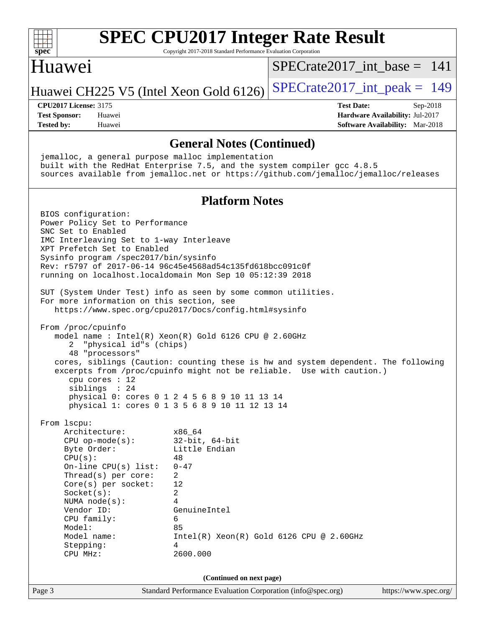

Copyright 2017-2018 Standard Performance Evaluation Corporation

## Huawei

 $SPECrate2017\_int\_base = 141$ 

Huawei CH225 V5 (Intel Xeon Gold 6126) SPECrate  $2017$  int peak = 149

**[Tested by:](http://www.spec.org/auto/cpu2017/Docs/result-fields.html#Testedby)** Huawei **[Software Availability:](http://www.spec.org/auto/cpu2017/Docs/result-fields.html#SoftwareAvailability)** Mar-2018

**[CPU2017 License:](http://www.spec.org/auto/cpu2017/Docs/result-fields.html#CPU2017License)** 3175 **[Test Date:](http://www.spec.org/auto/cpu2017/Docs/result-fields.html#TestDate)** Sep-2018 **[Test Sponsor:](http://www.spec.org/auto/cpu2017/Docs/result-fields.html#TestSponsor)** Huawei **[Hardware Availability:](http://www.spec.org/auto/cpu2017/Docs/result-fields.html#HardwareAvailability)** Jul-2017

#### **[General Notes \(Continued\)](http://www.spec.org/auto/cpu2017/Docs/result-fields.html#GeneralNotes)**

 jemalloc, a general purpose malloc implementation built with the RedHat Enterprise 7.5, and the system compiler gcc 4.8.5 sources available from jemalloc.net or <https://github.com/jemalloc/jemalloc/releases> **[Platform Notes](http://www.spec.org/auto/cpu2017/Docs/result-fields.html#PlatformNotes)** BIOS configuration: Power Policy Set to Performance SNC Set to Enabled IMC Interleaving Set to 1-way Interleave XPT Prefetch Set to Enabled Sysinfo program /spec2017/bin/sysinfo Rev: r5797 of 2017-06-14 96c45e4568ad54c135fd618bcc091c0f running on localhost.localdomain Mon Sep 10 05:12:39 2018 SUT (System Under Test) info as seen by some common utilities. For more information on this section, see <https://www.spec.org/cpu2017/Docs/config.html#sysinfo> From /proc/cpuinfo model name : Intel(R) Xeon(R) Gold 6126 CPU @ 2.60GHz 2 "physical id"s (chips) 48 "processors" cores, siblings (Caution: counting these is hw and system dependent. The following excerpts from /proc/cpuinfo might not be reliable. Use with caution.) cpu cores : 12 siblings : 24 physical 0: cores 0 1 2 4 5 6 8 9 10 11 13 14 physical 1: cores 0 1 3 5 6 8 9 10 11 12 13 14 From lscpu: Architecture: x86\_64 CPU op-mode(s): 32-bit, 64-bit Byte Order: Little Endian  $CPU(s):$  48 On-line CPU(s) list: 0-47 Thread(s) per core: 2 Core(s) per socket: 12 Socket(s): 2 NUMA node(s): 4 Vendor ID: GenuineIntel CPU family: 6 Model: 85 Model name: Intel(R) Xeon(R) Gold 6126 CPU @ 2.60GHz Stepping: 4 CPU MHz: 2600.000 **(Continued on next page)**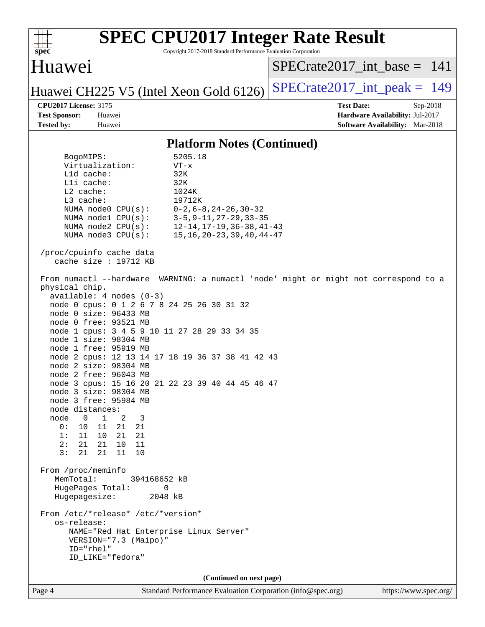| spec <sup>®</sup>                                                                                                                                         |                                                                                                                                                                                                                                                                                                                                                                                                                       | Copyright 2017-2018 Standard Performance Evaluation Corporation                                                                                                                                                    | <b>SPEC CPU2017 Integer Rate Result</b>                                                             |
|-----------------------------------------------------------------------------------------------------------------------------------------------------------|-----------------------------------------------------------------------------------------------------------------------------------------------------------------------------------------------------------------------------------------------------------------------------------------------------------------------------------------------------------------------------------------------------------------------|--------------------------------------------------------------------------------------------------------------------------------------------------------------------------------------------------------------------|-----------------------------------------------------------------------------------------------------|
| Huawei                                                                                                                                                    |                                                                                                                                                                                                                                                                                                                                                                                                                       |                                                                                                                                                                                                                    | $SPECrate2017$ int base = 141                                                                       |
|                                                                                                                                                           |                                                                                                                                                                                                                                                                                                                                                                                                                       | Huawei CH225 V5 (Intel Xeon Gold 6126)                                                                                                                                                                             | $SPECrate2017\_int\_peak = 149$                                                                     |
| <b>CPU2017 License: 3175</b><br><b>Test Sponsor:</b><br><b>Tested by:</b>                                                                                 | Huawei<br>Huawei                                                                                                                                                                                                                                                                                                                                                                                                      |                                                                                                                                                                                                                    | <b>Test Date:</b><br>Sep-2018<br>Hardware Availability: Jul-2017<br>Software Availability: Mar-2018 |
|                                                                                                                                                           |                                                                                                                                                                                                                                                                                                                                                                                                                       | <b>Platform Notes (Continued)</b>                                                                                                                                                                                  |                                                                                                     |
| BogoMIPS:<br>L1d cache:<br>Lli cache:<br>$L2$ cache:<br>L3 cache:                                                                                         | Virtualization:<br>NUMA node0 CPU(s):<br>NUMA nodel CPU(s):<br>NUMA $node2$ $CPU(s)$ :<br>NUMA node3 CPU(s):                                                                                                                                                                                                                                                                                                          | 5205.18<br>$VT - x$<br>32K<br>32K<br>1024K<br>19712K<br>$0-2, 6-8, 24-26, 30-32$<br>$3 - 5, 9 - 11, 27 - 29, 33 - 35$<br>$12 - 14, 17 - 19, 36 - 38, 41 - 43$<br>$15, 16, 20 - 23, 39, 40, 44 - 47$                |                                                                                                     |
| physical chip.<br>node distances:<br>node<br>$\overline{0}$<br>0:<br>10<br>1:<br>2:<br>21<br>3:<br>21<br>From /proc/meminfo<br>MemTotal:<br>Hugepagesize: | /proc/cpuinfo cache data<br>cache size $: 19712$ KB<br>$available: 4 nodes (0-3)$<br>node 0 size: 96433 MB<br>node 0 free: 93521 MB<br>node 1 size: 98304 MB<br>node 1 free: 95919 MB<br>node 2 size: 98304 MB<br>node 2 free: 96043 MB<br>node 3 size: 98304 MB<br>node 3 free: 95984 MB<br>1<br>2<br>3<br>21<br>11<br>21<br>11 10 21<br>- 21<br>21 10<br>11<br>21<br>- 11<br>10<br>394168652 kB<br>HugePages_Total: | node 0 cpus: 0 1 2 6 7 8 24 25 26 30 31 32<br>node 1 cpus: 3 4 5 9 10 11 27 28 29 33 34 35<br>node 2 cpus: 12 13 14 17 18 19 36 37 38 41 42 43<br>node 3 cpus: 15 16 20 21 22 23 39 40 44 45 46 47<br>0<br>2048 kB | From numactl --hardware WARNING: a numactl 'node' might or might not correspond to a                |
| os-release:<br>ID="rhel"                                                                                                                                  | From /etc/*release* /etc/*version*<br>VERSION="7.3 (Maipo)"<br>ID_LIKE="fedora"                                                                                                                                                                                                                                                                                                                                       | NAME="Red Hat Enterprise Linux Server"                                                                                                                                                                             |                                                                                                     |
|                                                                                                                                                           |                                                                                                                                                                                                                                                                                                                                                                                                                       | (Continued on next page)                                                                                                                                                                                           |                                                                                                     |
| Page 4                                                                                                                                                    |                                                                                                                                                                                                                                                                                                                                                                                                                       | Standard Performance Evaluation Corporation (info@spec.org)                                                                                                                                                        | https://www.spec.org/                                                                               |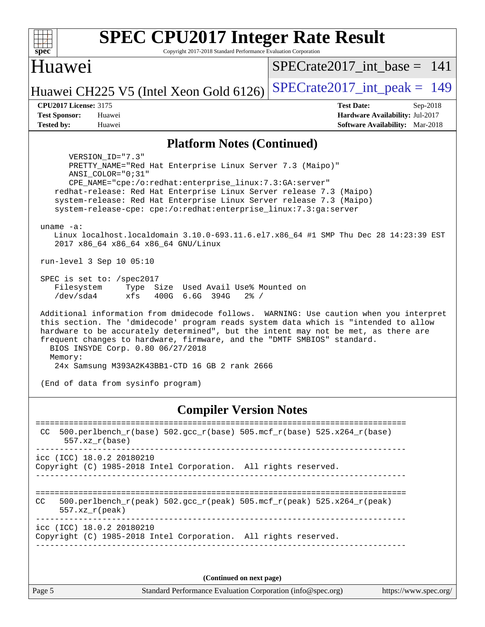| <b>SPEC CPU2017 Integer Rate Result</b>                                                                                                                                                                                                                                                                                                                                                        |                                                                           |  |  |  |
|------------------------------------------------------------------------------------------------------------------------------------------------------------------------------------------------------------------------------------------------------------------------------------------------------------------------------------------------------------------------------------------------|---------------------------------------------------------------------------|--|--|--|
| $spec^*$<br>Copyright 2017-2018 Standard Performance Evaluation Corporation                                                                                                                                                                                                                                                                                                                    |                                                                           |  |  |  |
| Huawei                                                                                                                                                                                                                                                                                                                                                                                         | $SPECrate2017\_int\_base = 141$                                           |  |  |  |
| Huawei CH225 V5 (Intel Xeon Gold 6126)                                                                                                                                                                                                                                                                                                                                                         | $SPECrate2017\_int\_peak = 149$                                           |  |  |  |
| <b>CPU2017 License: 3175</b>                                                                                                                                                                                                                                                                                                                                                                   | <b>Test Date:</b><br>Sep-2018                                             |  |  |  |
| <b>Test Sponsor:</b><br>Huawei<br><b>Tested by:</b><br>Huawei                                                                                                                                                                                                                                                                                                                                  | Hardware Availability: Jul-2017<br><b>Software Availability:</b> Mar-2018 |  |  |  |
|                                                                                                                                                                                                                                                                                                                                                                                                |                                                                           |  |  |  |
| <b>Platform Notes (Continued)</b>                                                                                                                                                                                                                                                                                                                                                              |                                                                           |  |  |  |
| VERSION ID="7.3"<br>PRETTY_NAME="Red Hat Enterprise Linux Server 7.3 (Maipo)"<br>ANSI COLOR="0;31"<br>CPE_NAME="cpe:/o:redhat:enterprise_linux:7.3:GA:server"<br>redhat-release: Red Hat Enterprise Linux Server release 7.3 (Maipo)<br>system-release: Red Hat Enterprise Linux Server release 7.3 (Maipo)<br>system-release-cpe: cpe:/o:redhat:enterprise_linux:7.3:ga:server                |                                                                           |  |  |  |
| uname $-a$ :<br>Linux localhost.localdomain 3.10.0-693.11.6.el7.x86_64 #1 SMP Thu Dec 28 14:23:39 EST<br>2017 x86_64 x86_64 x86_64 GNU/Linux                                                                                                                                                                                                                                                   |                                                                           |  |  |  |
| run-level 3 Sep 10 05:10                                                                                                                                                                                                                                                                                                                                                                       |                                                                           |  |  |  |
| SPEC is set to: /spec2017<br>Type Size Used Avail Use% Mounted on<br>Filesystem<br>/dev/sda4<br>xfs<br>400G 6.6G 394G<br>$2\frac{8}{1}$ /                                                                                                                                                                                                                                                      |                                                                           |  |  |  |
| Additional information from dmidecode follows. WARNING: Use caution when you interpret<br>this section. The 'dmidecode' program reads system data which is "intended to allow<br>hardware to be accurately determined", but the intent may not be met, as there are<br>frequent changes to hardware, firmware, and the "DMTF SMBIOS" standard.<br>BIOS INSYDE Corp. 0.80 06/27/2018<br>Memory: |                                                                           |  |  |  |
| 24x Samsung M393A2K43BB1-CTD 16 GB 2 rank 2666                                                                                                                                                                                                                                                                                                                                                 |                                                                           |  |  |  |
| (End of data from sysinfo program)                                                                                                                                                                                                                                                                                                                                                             |                                                                           |  |  |  |
| <b>Compiler Version Notes</b><br>=============                                                                                                                                                                                                                                                                                                                                                 |                                                                           |  |  |  |

 CC 500.perlbench\_r(base) 502.gcc\_r(base) 505.mcf\_r(base) 525.x264\_r(base) 557.xz\_r(base) ----------------------------------------------------------------------------- icc (ICC) 18.0.2 20180210 Copyright (C) 1985-2018 Intel Corporation. All rights reserved. ------------------------------------------------------------------------------ ============================================================================== CC 500.perlbench\_r(peak) 502.gcc\_r(peak) 505.mcf\_r(peak) 525.x264\_r(peak) 557.xz\_r(peak) ----------------------------------------------------------------------------- icc (ICC) 18.0.2 20180210 Copyright (C) 1985-2018 Intel Corporation. All rights reserved. ------------------------------------------------------------------------------

**(Continued on next page)**

Page 5 Standard Performance Evaluation Corporation [\(info@spec.org\)](mailto:info@spec.org) <https://www.spec.org/>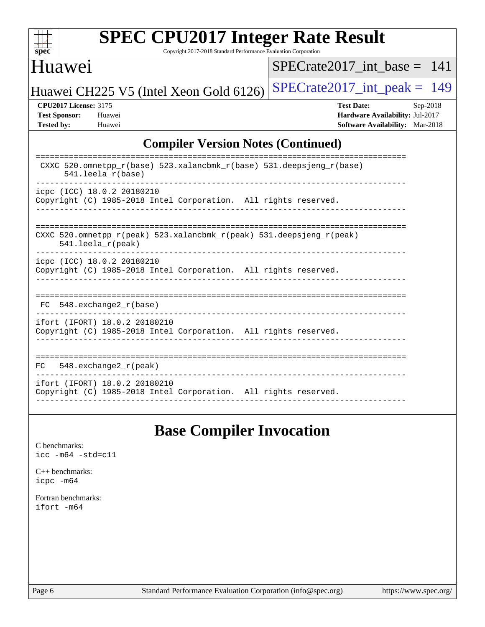

Copyright 2017-2018 Standard Performance Evaluation Corporation

## Huawei

 $SPECrate2017\_int\_base = 141$ 

Huawei CH225 V5 (Intel Xeon Gold 6126) SPECrate  $2017$ \_int\_peak = 149

**[CPU2017 License:](http://www.spec.org/auto/cpu2017/Docs/result-fields.html#CPU2017License)** 3175 **[Test Date:](http://www.spec.org/auto/cpu2017/Docs/result-fields.html#TestDate)** Sep-2018 **[Test Sponsor:](http://www.spec.org/auto/cpu2017/Docs/result-fields.html#TestSponsor)** Huawei **[Hardware Availability:](http://www.spec.org/auto/cpu2017/Docs/result-fields.html#HardwareAvailability)** Jul-2017 **[Tested by:](http://www.spec.org/auto/cpu2017/Docs/result-fields.html#Testedby)** Huawei **[Software Availability:](http://www.spec.org/auto/cpu2017/Docs/result-fields.html#SoftwareAvailability)** Mar-2018

### **[Compiler Version Notes \(Continued\)](http://www.spec.org/auto/cpu2017/Docs/result-fields.html#CompilerVersionNotes)**

| CXXC 520.omnetpp_r(base) 523.xalancbmk_r(base) 531.deepsjeng_r(base)<br>$541.$ leela $r(base)$                             |
|----------------------------------------------------------------------------------------------------------------------------|
| icpc (ICC) 18.0.2 20180210<br>Copyright (C) 1985-2018 Intel Corporation. All rights reserved.                              |
| CXXC 520.omnetpp $r(\text{peak})$ 523.xalancbmk $r(\text{peak})$ 531.deepsjeng $r(\text{peak})$<br>$541.$ leela $r$ (peak) |
| icpc (ICC) 18.0.2 20180210<br>Copyright (C) 1985-2018 Intel Corporation. All rights reserved.                              |
| FC 548. exchange2 r(base)                                                                                                  |
| ifort (IFORT) 18.0.2 20180210<br>Copyright (C) 1985-2018 Intel Corporation. All rights reserved.                           |
| 548. $exchange2 r (peak)$<br>FC.                                                                                           |
| ifort (IFORT) 18.0.2 20180210<br>Copyright (C) 1985-2018 Intel Corporation. All rights reserved.                           |

## **[Base Compiler Invocation](http://www.spec.org/auto/cpu2017/Docs/result-fields.html#BaseCompilerInvocation)**

[C benchmarks](http://www.spec.org/auto/cpu2017/Docs/result-fields.html#Cbenchmarks): [icc -m64 -std=c11](http://www.spec.org/cpu2017/results/res2018q4/cpu2017-20180911-08846.flags.html#user_CCbase_intel_icc_64bit_c11_33ee0cdaae7deeeab2a9725423ba97205ce30f63b9926c2519791662299b76a0318f32ddfffdc46587804de3178b4f9328c46fa7c2b0cd779d7a61945c91cd35)

[C++ benchmarks:](http://www.spec.org/auto/cpu2017/Docs/result-fields.html#CXXbenchmarks) [icpc -m64](http://www.spec.org/cpu2017/results/res2018q4/cpu2017-20180911-08846.flags.html#user_CXXbase_intel_icpc_64bit_4ecb2543ae3f1412ef961e0650ca070fec7b7afdcd6ed48761b84423119d1bf6bdf5cad15b44d48e7256388bc77273b966e5eb805aefd121eb22e9299b2ec9d9)

[Fortran benchmarks](http://www.spec.org/auto/cpu2017/Docs/result-fields.html#Fortranbenchmarks): [ifort -m64](http://www.spec.org/cpu2017/results/res2018q4/cpu2017-20180911-08846.flags.html#user_FCbase_intel_ifort_64bit_24f2bb282fbaeffd6157abe4f878425411749daecae9a33200eee2bee2fe76f3b89351d69a8130dd5949958ce389cf37ff59a95e7a40d588e8d3a57e0c3fd751)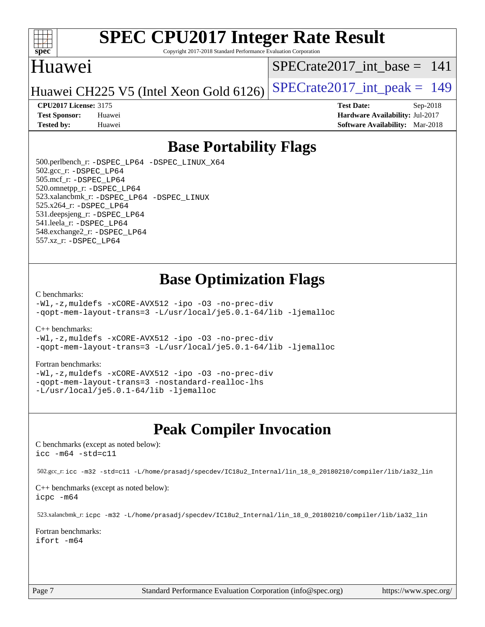

Copyright 2017-2018 Standard Performance Evaluation Corporation

## Huawei

[SPECrate2017\\_int\\_base =](http://www.spec.org/auto/cpu2017/Docs/result-fields.html#SPECrate2017intbase) 141

Huawei CH225 V5 (Intel Xeon Gold 6126) SPECrate  $2017$  int peak = 149

**[Tested by:](http://www.spec.org/auto/cpu2017/Docs/result-fields.html#Testedby)** Huawei **[Software Availability:](http://www.spec.org/auto/cpu2017/Docs/result-fields.html#SoftwareAvailability)** Mar-2018

**[CPU2017 License:](http://www.spec.org/auto/cpu2017/Docs/result-fields.html#CPU2017License)** 3175 **[Test Date:](http://www.spec.org/auto/cpu2017/Docs/result-fields.html#TestDate)** Sep-2018 **[Test Sponsor:](http://www.spec.org/auto/cpu2017/Docs/result-fields.html#TestSponsor)** Huawei **[Hardware Availability:](http://www.spec.org/auto/cpu2017/Docs/result-fields.html#HardwareAvailability)** Jul-2017

## **[Base Portability Flags](http://www.spec.org/auto/cpu2017/Docs/result-fields.html#BasePortabilityFlags)**

 500.perlbench\_r: [-DSPEC\\_LP64](http://www.spec.org/cpu2017/results/res2018q4/cpu2017-20180911-08846.flags.html#b500.perlbench_r_basePORTABILITY_DSPEC_LP64) [-DSPEC\\_LINUX\\_X64](http://www.spec.org/cpu2017/results/res2018q4/cpu2017-20180911-08846.flags.html#b500.perlbench_r_baseCPORTABILITY_DSPEC_LINUX_X64) 502.gcc\_r: [-DSPEC\\_LP64](http://www.spec.org/cpu2017/results/res2018q4/cpu2017-20180911-08846.flags.html#suite_basePORTABILITY502_gcc_r_DSPEC_LP64) 505.mcf\_r: [-DSPEC\\_LP64](http://www.spec.org/cpu2017/results/res2018q4/cpu2017-20180911-08846.flags.html#suite_basePORTABILITY505_mcf_r_DSPEC_LP64) 520.omnetpp\_r: [-DSPEC\\_LP64](http://www.spec.org/cpu2017/results/res2018q4/cpu2017-20180911-08846.flags.html#suite_basePORTABILITY520_omnetpp_r_DSPEC_LP64) 523.xalancbmk\_r: [-DSPEC\\_LP64](http://www.spec.org/cpu2017/results/res2018q4/cpu2017-20180911-08846.flags.html#suite_basePORTABILITY523_xalancbmk_r_DSPEC_LP64) [-DSPEC\\_LINUX](http://www.spec.org/cpu2017/results/res2018q4/cpu2017-20180911-08846.flags.html#b523.xalancbmk_r_baseCXXPORTABILITY_DSPEC_LINUX) 525.x264\_r: [-DSPEC\\_LP64](http://www.spec.org/cpu2017/results/res2018q4/cpu2017-20180911-08846.flags.html#suite_basePORTABILITY525_x264_r_DSPEC_LP64) 531.deepsjeng\_r: [-DSPEC\\_LP64](http://www.spec.org/cpu2017/results/res2018q4/cpu2017-20180911-08846.flags.html#suite_basePORTABILITY531_deepsjeng_r_DSPEC_LP64) 541.leela\_r: [-DSPEC\\_LP64](http://www.spec.org/cpu2017/results/res2018q4/cpu2017-20180911-08846.flags.html#suite_basePORTABILITY541_leela_r_DSPEC_LP64) 548.exchange2\_r: [-DSPEC\\_LP64](http://www.spec.org/cpu2017/results/res2018q4/cpu2017-20180911-08846.flags.html#suite_basePORTABILITY548_exchange2_r_DSPEC_LP64) 557.xz\_r: [-DSPEC\\_LP64](http://www.spec.org/cpu2017/results/res2018q4/cpu2017-20180911-08846.flags.html#suite_basePORTABILITY557_xz_r_DSPEC_LP64)

## **[Base Optimization Flags](http://www.spec.org/auto/cpu2017/Docs/result-fields.html#BaseOptimizationFlags)**

#### [C benchmarks](http://www.spec.org/auto/cpu2017/Docs/result-fields.html#Cbenchmarks):

[-Wl,-z,muldefs](http://www.spec.org/cpu2017/results/res2018q4/cpu2017-20180911-08846.flags.html#user_CCbase_link_force_multiple1_b4cbdb97b34bdee9ceefcfe54f4c8ea74255f0b02a4b23e853cdb0e18eb4525ac79b5a88067c842dd0ee6996c24547a27a4b99331201badda8798ef8a743f577) [-xCORE-AVX512](http://www.spec.org/cpu2017/results/res2018q4/cpu2017-20180911-08846.flags.html#user_CCbase_f-xCORE-AVX512) [-ipo](http://www.spec.org/cpu2017/results/res2018q4/cpu2017-20180911-08846.flags.html#user_CCbase_f-ipo) [-O3](http://www.spec.org/cpu2017/results/res2018q4/cpu2017-20180911-08846.flags.html#user_CCbase_f-O3) [-no-prec-div](http://www.spec.org/cpu2017/results/res2018q4/cpu2017-20180911-08846.flags.html#user_CCbase_f-no-prec-div) [-qopt-mem-layout-trans=3](http://www.spec.org/cpu2017/results/res2018q4/cpu2017-20180911-08846.flags.html#user_CCbase_f-qopt-mem-layout-trans_de80db37974c74b1f0e20d883f0b675c88c3b01e9d123adea9b28688d64333345fb62bc4a798493513fdb68f60282f9a726aa07f478b2f7113531aecce732043) [-L/usr/local/je5.0.1-64/lib](http://www.spec.org/cpu2017/results/res2018q4/cpu2017-20180911-08846.flags.html#user_CCbase_jemalloc_link_path64_4b10a636b7bce113509b17f3bd0d6226c5fb2346b9178c2d0232c14f04ab830f976640479e5c33dc2bcbbdad86ecfb6634cbbd4418746f06f368b512fced5394) [-ljemalloc](http://www.spec.org/cpu2017/results/res2018q4/cpu2017-20180911-08846.flags.html#user_CCbase_jemalloc_link_lib_d1249b907c500fa1c0672f44f562e3d0f79738ae9e3c4a9c376d49f265a04b9c99b167ecedbf6711b3085be911c67ff61f150a17b3472be731631ba4d0471706)

#### [C++ benchmarks:](http://www.spec.org/auto/cpu2017/Docs/result-fields.html#CXXbenchmarks)

[-Wl,-z,muldefs](http://www.spec.org/cpu2017/results/res2018q4/cpu2017-20180911-08846.flags.html#user_CXXbase_link_force_multiple1_b4cbdb97b34bdee9ceefcfe54f4c8ea74255f0b02a4b23e853cdb0e18eb4525ac79b5a88067c842dd0ee6996c24547a27a4b99331201badda8798ef8a743f577) [-xCORE-AVX512](http://www.spec.org/cpu2017/results/res2018q4/cpu2017-20180911-08846.flags.html#user_CXXbase_f-xCORE-AVX512) [-ipo](http://www.spec.org/cpu2017/results/res2018q4/cpu2017-20180911-08846.flags.html#user_CXXbase_f-ipo) [-O3](http://www.spec.org/cpu2017/results/res2018q4/cpu2017-20180911-08846.flags.html#user_CXXbase_f-O3) [-no-prec-div](http://www.spec.org/cpu2017/results/res2018q4/cpu2017-20180911-08846.flags.html#user_CXXbase_f-no-prec-div) [-qopt-mem-layout-trans=3](http://www.spec.org/cpu2017/results/res2018q4/cpu2017-20180911-08846.flags.html#user_CXXbase_f-qopt-mem-layout-trans_de80db37974c74b1f0e20d883f0b675c88c3b01e9d123adea9b28688d64333345fb62bc4a798493513fdb68f60282f9a726aa07f478b2f7113531aecce732043) [-L/usr/local/je5.0.1-64/lib](http://www.spec.org/cpu2017/results/res2018q4/cpu2017-20180911-08846.flags.html#user_CXXbase_jemalloc_link_path64_4b10a636b7bce113509b17f3bd0d6226c5fb2346b9178c2d0232c14f04ab830f976640479e5c33dc2bcbbdad86ecfb6634cbbd4418746f06f368b512fced5394) [-ljemalloc](http://www.spec.org/cpu2017/results/res2018q4/cpu2017-20180911-08846.flags.html#user_CXXbase_jemalloc_link_lib_d1249b907c500fa1c0672f44f562e3d0f79738ae9e3c4a9c376d49f265a04b9c99b167ecedbf6711b3085be911c67ff61f150a17b3472be731631ba4d0471706)

#### [Fortran benchmarks](http://www.spec.org/auto/cpu2017/Docs/result-fields.html#Fortranbenchmarks):

[-Wl,-z,muldefs](http://www.spec.org/cpu2017/results/res2018q4/cpu2017-20180911-08846.flags.html#user_FCbase_link_force_multiple1_b4cbdb97b34bdee9ceefcfe54f4c8ea74255f0b02a4b23e853cdb0e18eb4525ac79b5a88067c842dd0ee6996c24547a27a4b99331201badda8798ef8a743f577) [-xCORE-AVX512](http://www.spec.org/cpu2017/results/res2018q4/cpu2017-20180911-08846.flags.html#user_FCbase_f-xCORE-AVX512) [-ipo](http://www.spec.org/cpu2017/results/res2018q4/cpu2017-20180911-08846.flags.html#user_FCbase_f-ipo) [-O3](http://www.spec.org/cpu2017/results/res2018q4/cpu2017-20180911-08846.flags.html#user_FCbase_f-O3) [-no-prec-div](http://www.spec.org/cpu2017/results/res2018q4/cpu2017-20180911-08846.flags.html#user_FCbase_f-no-prec-div) [-qopt-mem-layout-trans=3](http://www.spec.org/cpu2017/results/res2018q4/cpu2017-20180911-08846.flags.html#user_FCbase_f-qopt-mem-layout-trans_de80db37974c74b1f0e20d883f0b675c88c3b01e9d123adea9b28688d64333345fb62bc4a798493513fdb68f60282f9a726aa07f478b2f7113531aecce732043) [-nostandard-realloc-lhs](http://www.spec.org/cpu2017/results/res2018q4/cpu2017-20180911-08846.flags.html#user_FCbase_f_2003_std_realloc_82b4557e90729c0f113870c07e44d33d6f5a304b4f63d4c15d2d0f1fab99f5daaed73bdb9275d9ae411527f28b936061aa8b9c8f2d63842963b95c9dd6426b8a) [-L/usr/local/je5.0.1-64/lib](http://www.spec.org/cpu2017/results/res2018q4/cpu2017-20180911-08846.flags.html#user_FCbase_jemalloc_link_path64_4b10a636b7bce113509b17f3bd0d6226c5fb2346b9178c2d0232c14f04ab830f976640479e5c33dc2bcbbdad86ecfb6634cbbd4418746f06f368b512fced5394) [-ljemalloc](http://www.spec.org/cpu2017/results/res2018q4/cpu2017-20180911-08846.flags.html#user_FCbase_jemalloc_link_lib_d1249b907c500fa1c0672f44f562e3d0f79738ae9e3c4a9c376d49f265a04b9c99b167ecedbf6711b3085be911c67ff61f150a17b3472be731631ba4d0471706)

## **[Peak Compiler Invocation](http://www.spec.org/auto/cpu2017/Docs/result-fields.html#PeakCompilerInvocation)**

[C benchmarks \(except as noted below\)](http://www.spec.org/auto/cpu2017/Docs/result-fields.html#Cbenchmarksexceptasnotedbelow): [icc -m64 -std=c11](http://www.spec.org/cpu2017/results/res2018q4/cpu2017-20180911-08846.flags.html#user_CCpeak_intel_icc_64bit_c11_33ee0cdaae7deeeab2a9725423ba97205ce30f63b9926c2519791662299b76a0318f32ddfffdc46587804de3178b4f9328c46fa7c2b0cd779d7a61945c91cd35)

502.gcc\_r: [icc -m32 -std=c11 -L/home/prasadj/specdev/IC18u2\\_Internal/lin\\_18\\_0\\_20180210/compiler/lib/ia32\\_lin](http://www.spec.org/cpu2017/results/res2018q4/cpu2017-20180911-08846.flags.html#user_peakCCLD502_gcc_r_intel_icc_a481ac844e7127046fad14d498c730a1848fa901fbbb2c3dfdd5e9fbbac777c8009953946d55d8b6afe8ed0da70dd2b4f8dedbdf7ab1ee211ba70d24a5d89f85)

[C++ benchmarks \(except as noted below\):](http://www.spec.org/auto/cpu2017/Docs/result-fields.html#CXXbenchmarksexceptasnotedbelow) [icpc -m64](http://www.spec.org/cpu2017/results/res2018q4/cpu2017-20180911-08846.flags.html#user_CXXpeak_intel_icpc_64bit_4ecb2543ae3f1412ef961e0650ca070fec7b7afdcd6ed48761b84423119d1bf6bdf5cad15b44d48e7256388bc77273b966e5eb805aefd121eb22e9299b2ec9d9)

523.xalancbmk\_r: [icpc -m32 -L/home/prasadj/specdev/IC18u2\\_Internal/lin\\_18\\_0\\_20180210/compiler/lib/ia32\\_lin](http://www.spec.org/cpu2017/results/res2018q4/cpu2017-20180911-08846.flags.html#user_peakCXXLD523_xalancbmk_r_intel_icpc_c6d030cd79af6ea7d6fb64c57e8fe7ae8fe0b96fc5a3b3f4a10e3273b3d7fa9decd8263f6330cef23f751cb093a69fae84a2bf4c243500a8eed069248128076f)

[Fortran benchmarks](http://www.spec.org/auto/cpu2017/Docs/result-fields.html#Fortranbenchmarks): [ifort -m64](http://www.spec.org/cpu2017/results/res2018q4/cpu2017-20180911-08846.flags.html#user_FCpeak_intel_ifort_64bit_24f2bb282fbaeffd6157abe4f878425411749daecae9a33200eee2bee2fe76f3b89351d69a8130dd5949958ce389cf37ff59a95e7a40d588e8d3a57e0c3fd751)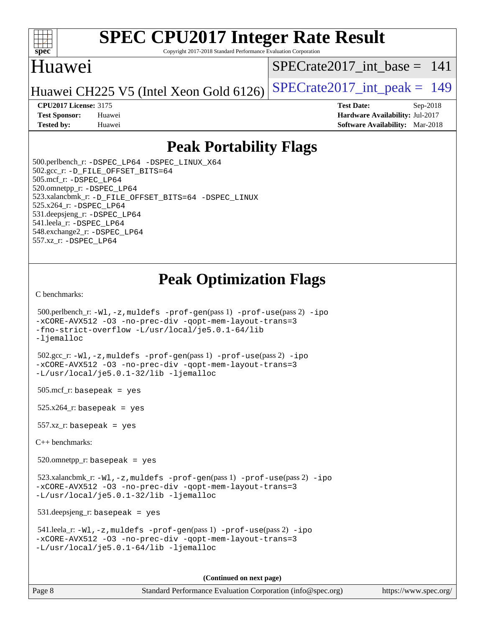

Copyright 2017-2018 Standard Performance Evaluation Corporation

## Huawei

[SPECrate2017\\_int\\_base =](http://www.spec.org/auto/cpu2017/Docs/result-fields.html#SPECrate2017intbase) 141

Huawei CH225 V5 (Intel Xeon Gold 6126) SPECrate  $2017$  int peak = 149

**[CPU2017 License:](http://www.spec.org/auto/cpu2017/Docs/result-fields.html#CPU2017License)** 3175 **[Test Date:](http://www.spec.org/auto/cpu2017/Docs/result-fields.html#TestDate)** Sep-2018 **[Test Sponsor:](http://www.spec.org/auto/cpu2017/Docs/result-fields.html#TestSponsor)** Huawei **[Hardware Availability:](http://www.spec.org/auto/cpu2017/Docs/result-fields.html#HardwareAvailability)** Jul-2017 **[Tested by:](http://www.spec.org/auto/cpu2017/Docs/result-fields.html#Testedby)** Huawei **[Software Availability:](http://www.spec.org/auto/cpu2017/Docs/result-fields.html#SoftwareAvailability)** Mar-2018

## **[Peak Portability Flags](http://www.spec.org/auto/cpu2017/Docs/result-fields.html#PeakPortabilityFlags)**

 500.perlbench\_r: [-DSPEC\\_LP64](http://www.spec.org/cpu2017/results/res2018q4/cpu2017-20180911-08846.flags.html#b500.perlbench_r_peakPORTABILITY_DSPEC_LP64) [-DSPEC\\_LINUX\\_X64](http://www.spec.org/cpu2017/results/res2018q4/cpu2017-20180911-08846.flags.html#b500.perlbench_r_peakCPORTABILITY_DSPEC_LINUX_X64) 502.gcc\_r: [-D\\_FILE\\_OFFSET\\_BITS=64](http://www.spec.org/cpu2017/results/res2018q4/cpu2017-20180911-08846.flags.html#user_peakPORTABILITY502_gcc_r_file_offset_bits_64_5ae949a99b284ddf4e95728d47cb0843d81b2eb0e18bdfe74bbf0f61d0b064f4bda2f10ea5eb90e1dcab0e84dbc592acfc5018bc955c18609f94ddb8d550002c) 505.mcf\_r: [-DSPEC\\_LP64](http://www.spec.org/cpu2017/results/res2018q4/cpu2017-20180911-08846.flags.html#suite_peakPORTABILITY505_mcf_r_DSPEC_LP64) 520.omnetpp\_r: [-DSPEC\\_LP64](http://www.spec.org/cpu2017/results/res2018q4/cpu2017-20180911-08846.flags.html#suite_peakPORTABILITY520_omnetpp_r_DSPEC_LP64) 523.xalancbmk\_r: [-D\\_FILE\\_OFFSET\\_BITS=64](http://www.spec.org/cpu2017/results/res2018q4/cpu2017-20180911-08846.flags.html#user_peakPORTABILITY523_xalancbmk_r_file_offset_bits_64_5ae949a99b284ddf4e95728d47cb0843d81b2eb0e18bdfe74bbf0f61d0b064f4bda2f10ea5eb90e1dcab0e84dbc592acfc5018bc955c18609f94ddb8d550002c) [-DSPEC\\_LINUX](http://www.spec.org/cpu2017/results/res2018q4/cpu2017-20180911-08846.flags.html#b523.xalancbmk_r_peakCXXPORTABILITY_DSPEC_LINUX) 525.x264\_r: [-DSPEC\\_LP64](http://www.spec.org/cpu2017/results/res2018q4/cpu2017-20180911-08846.flags.html#suite_peakPORTABILITY525_x264_r_DSPEC_LP64) 531.deepsjeng\_r: [-DSPEC\\_LP64](http://www.spec.org/cpu2017/results/res2018q4/cpu2017-20180911-08846.flags.html#suite_peakPORTABILITY531_deepsjeng_r_DSPEC_LP64) 541.leela\_r: [-DSPEC\\_LP64](http://www.spec.org/cpu2017/results/res2018q4/cpu2017-20180911-08846.flags.html#suite_peakPORTABILITY541_leela_r_DSPEC_LP64) 548.exchange2\_r: [-DSPEC\\_LP64](http://www.spec.org/cpu2017/results/res2018q4/cpu2017-20180911-08846.flags.html#suite_peakPORTABILITY548_exchange2_r_DSPEC_LP64) 557.xz\_r: [-DSPEC\\_LP64](http://www.spec.org/cpu2017/results/res2018q4/cpu2017-20180911-08846.flags.html#suite_peakPORTABILITY557_xz_r_DSPEC_LP64)

## **[Peak Optimization Flags](http://www.spec.org/auto/cpu2017/Docs/result-fields.html#PeakOptimizationFlags)**

[C benchmarks](http://www.spec.org/auto/cpu2017/Docs/result-fields.html#Cbenchmarks):

```
 500.perlbench_r: -Wl,-z,muldefs -prof-gen(pass 1) -prof-use(pass 2) -ipo
-xCORE-AVX512 -O3 -no-prec-div -qopt-mem-layout-trans=3
-fno-strict-overflow -L/usr/local/je5.0.1-64/lib
-ljemalloc
 502.gcc_r: -Wl,-z,muldefs -prof-gen(pass 1) -prof-use(pass 2) -ipo
-xCORE-AVX512 -O3 -no-prec-div -qopt-mem-layout-trans=3
-L/usr/local/je5.0.1-32/lib -ljemalloc
505.\text{mcf}_r: basepeak = yes
525.x264_r: basepeak = yes
557.xz r: basepeak = yes
C++ benchmarks: 
 520.omnetpp_r: basepeak = yes
 523.xalancbmk_r: -Wl,-z,muldefs -prof-gen(pass 1) -prof-use(pass 2) -ipo
-xCORE-AVX512 -O3 -no-prec-div -qopt-mem-layout-trans=3
-L/usr/local/je5.0.1-32/lib -ljemalloc
 531.deepsjeng_r: basepeak = yes
 541.leela_r: -Wl,-z,muldefs -prof-gen(pass 1) -prof-use(pass 2) -ipo
-xCORE-AVX512 -O3 -no-prec-div -qopt-mem-layout-trans=3
-L/usr/local/je5.0.1-64/lib -ljemalloc
                                       (Continued on next page)
```